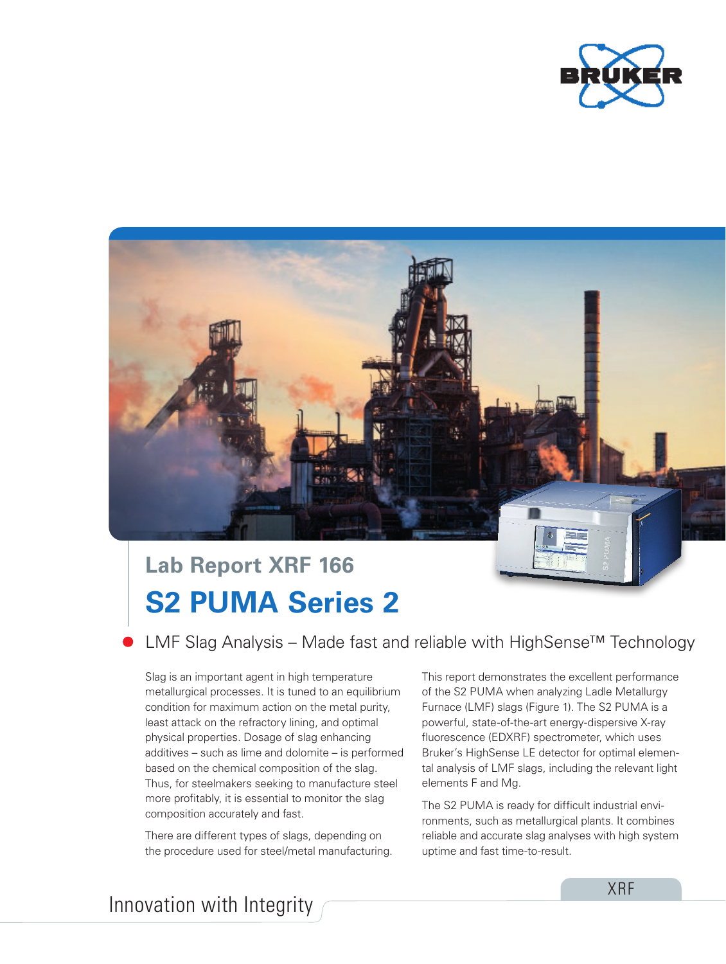



# **S2 PUMA Series 2 Lab Report XRF 166**

LMF Slag Analysis – Made fast and reliable with HighSense™ Technology

Slag is an important agent in high temperature metallurgical processes. It is tuned to an equilibrium condition for maximum action on the metal purity, least attack on the refractory lining, and optimal physical properties. Dosage of slag enhancing additives – such as lime and dolomite – is performed based on the chemical composition of the slag. Thus, for steelmakers seeking to manufacture steel more profitably, it is essential to monitor the slag composition accurately and fast.

There are different types of slags, depending on the procedure used for steel/metal manufacturing.

This report demonstrates the excellent performance of the S2 PUMA when analyzing Ladle Metallurgy Furnace (LMF) slags (Figure 1). The S2 PUMA is a powerful, state-of-the-art energy-dispersive X-ray fluorescence (EDXRF) spectrometer, which uses Bruker's HighSense LE detector for optimal elemental analysis of LMF slags, including the relevant light elements F and Mg.

The S2 PUMA is ready for difficult industrial environments, such as metallurgical plants. It combines reliable and accurate slag analyses with high system uptime and fast time-to-result.

Innovation with Integrity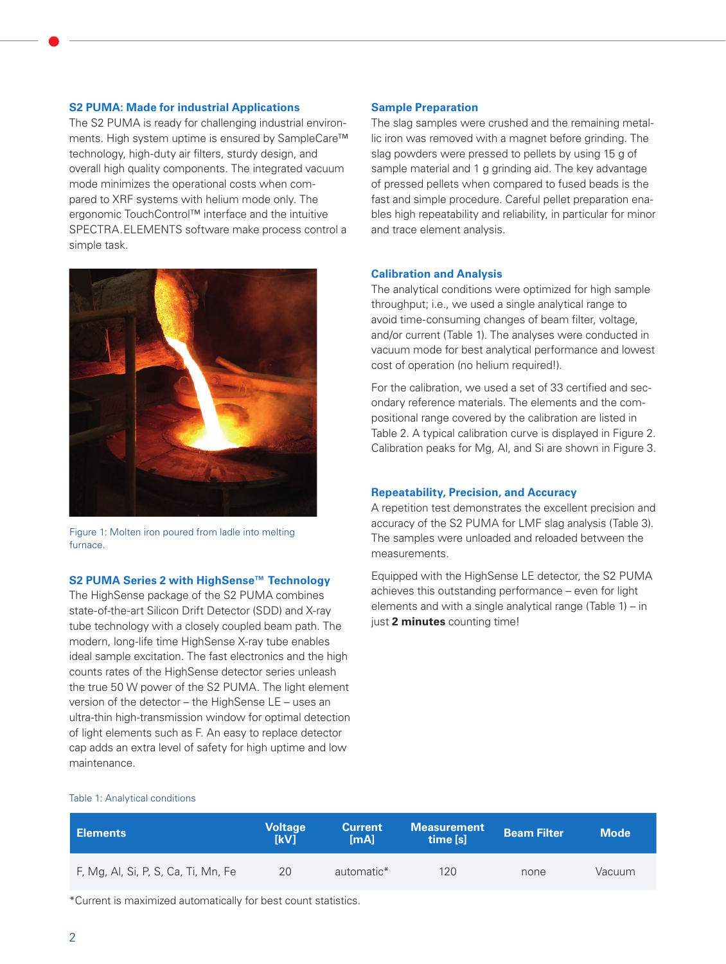### **S2 PUMA: Made for industrial Applications**

The S2 PUMA is ready for challenging industrial environments. High system uptime is ensured by SampleCare™ technology, high-duty air filters, sturdy design, and overall high quality components. The integrated vacuum mode minimizes the operational costs when compared to XRF systems with helium mode only. The ergonomic TouchControl™ interface and the intuitive SPECTRA.ELEMENTS software make process control a simple task.



Figure 1: Molten iron poured from ladle into melting furnace.

# **S2 PUMA Series 2 with HighSense™ Technology**

The HighSense package of the S2 PUMA combines state-of-the-art Silicon Drift Detector (SDD) and X-ray tube technology with a closely coupled beam path. The modern, long-life time HighSense X-ray tube enables ideal sample excitation. The fast electronics and the high counts rates of the HighSense detector series unleash the true 50 W power of the S2 PUMA. The light element version of the detector – the HighSense LE – uses an ultra-thin high-transmission window for optimal detection of light elements such as F. An easy to replace detector cap adds an extra level of safety for high uptime and low maintenance.

## **Sample Preparation**

The slag samples were crushed and the remaining metallic iron was removed with a magnet before grinding. The slag powders were pressed to pellets by using 15 g of sample material and 1 g grinding aid. The key advantage of pressed pellets when compared to fused beads is the fast and simple procedure. Careful pellet preparation enables high repeatability and reliability, in particular for minor and trace element analysis.

## **Calibration and Analysis**

The analytical conditions were optimized for high sample throughput; i.e., we used a single analytical range to avoid time-consuming changes of beam filter, voltage, and/or current (Table 1). The analyses were conducted in vacuum mode for best analytical performance and lowest cost of operation (no helium required!).

For the calibration, we used a set of 33 certified and secondary reference materials. The elements and the compositional range covered by the calibration are listed in Table 2. A typical calibration curve is displayed in Figure 2. Calibration peaks for Mg, Al, and Si are shown in Figure 3.

## **Repeatability, Precision, and Accuracy**

A repetition test demonstrates the excellent precision and accuracy of the S2 PUMA for LMF slag analysis (Table 3). The samples were unloaded and reloaded between the measurements.

Equipped with the HighSense LE detector, the S2 PUMA achieves this outstanding performance – even for light elements and with a single analytical range (Table 1) – in just **2 minutes** counting time!

#### Table 1: Analytical conditions

| ∣ Elements                          | Voltage<br><b>IkV1</b> | <b>Current</b><br>$[m$ Al | <b>Measurement</b><br>time [s] | <b>Beam Filter</b> | <b>Mode</b> |
|-------------------------------------|------------------------|---------------------------|--------------------------------|--------------------|-------------|
| F, Mg, Al, Si, P, S, Ca, Ti, Mn, Fe | 20                     | automatic*                | 120                            | none               | Vacuum      |

\*Current is maximized automatically for best count statistics.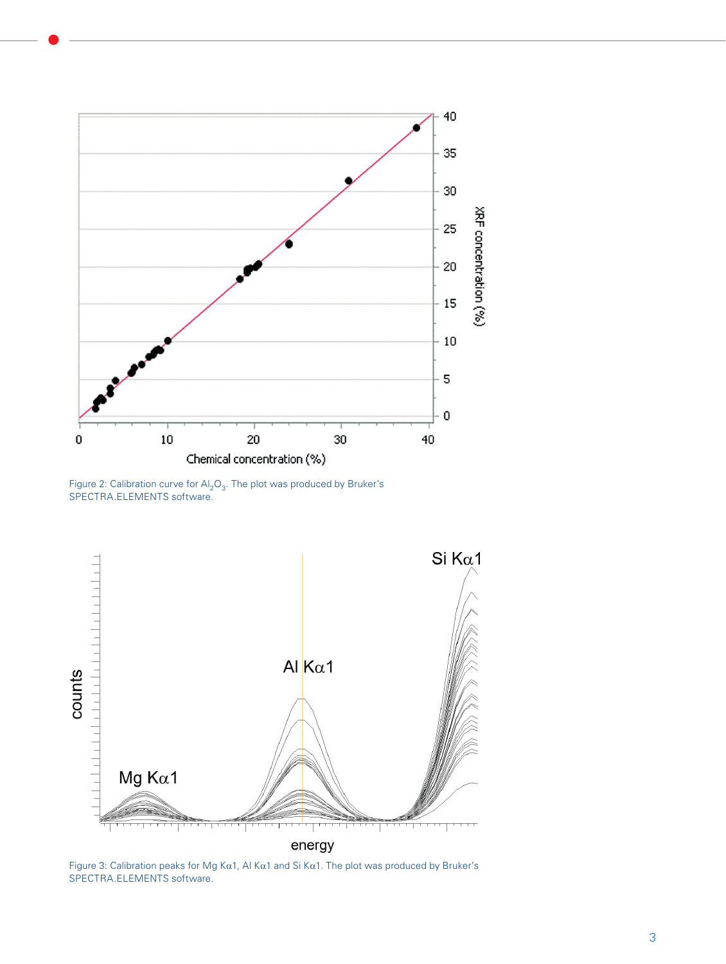

Figure 2: Calibration curve for  $\mathsf{Al}_2\mathsf{O}_3$ . The plot was produced by Bruker's SPECTRA.ELEMENTS software.



Figure 3: Calibration peaks for Mg Kα1, Al Kα1 and Si Kα1. The plot was produced by Bruker's SPECTRA.ELEMENTS software.